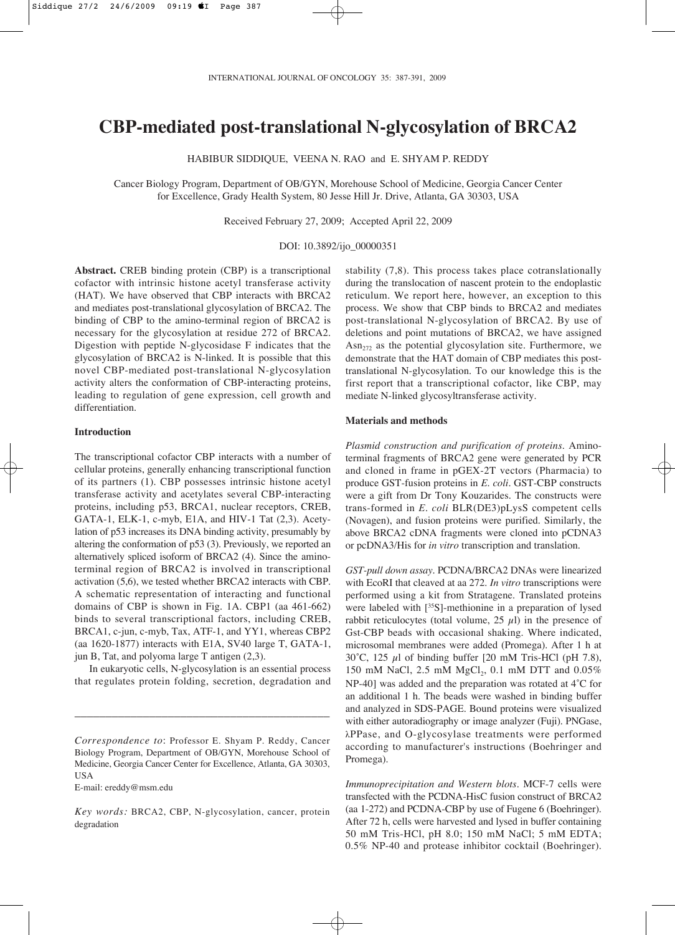# **CBP-mediated post-translational N-glycosylation of BRCA2**

HABIBUR SIDDIQUE, VEENA N. RAO and E. SHYAM P. REDDY

Cancer Biology Program, Department of OB/GYN, Morehouse School of Medicine, Georgia Cancer Center for Excellence, Grady Health System, 80 Jesse Hill Jr. Drive, Atlanta, GA 30303, USA

Received February 27, 2009; Accepted April 22, 2009

DOI: 10.3892/ijo\_00000351

**Abstract.** CREB binding protein (CBP) is a transcriptional cofactor with intrinsic histone acetyl transferase activity (HAT). We have observed that CBP interacts with BRCA2 and mediates post-translational glycosylation of BRCA2. The binding of CBP to the amino-terminal region of BRCA2 is necessary for the glycosylation at residue 272 of BRCA2. Digestion with peptide N-glycosidase F indicates that the glycosylation of BRCA2 is N-linked. It is possible that this novel CBP-mediated post-translational N-glycosylation activity alters the conformation of CBP-interacting proteins, leading to regulation of gene expression, cell growth and differentiation.

## **Introduction**

The transcriptional cofactor CBP interacts with a number of cellular proteins, generally enhancing transcriptional function of its partners (1). CBP possesses intrinsic histone acetyl transferase activity and acetylates several CBP-interacting proteins, including p53, BRCA1, nuclear receptors, CREB, GATA-1, ELK-1, c-myb, E1A, and HIV-1 Tat (2,3). Acetylation of p53 increases its DNA binding activity, presumably by altering the conformation of p53 (3). Previously, we reported an alternatively spliced isoform of BRCA2 (4). Since the aminoterminal region of BRCA2 is involved in transcriptional activation (5,6), we tested whether BRCA2 interacts with CBP. A schematic representation of interacting and functional domains of CBP is shown in Fig. 1A. CBP1 (aa 461-662) binds to several transcriptional factors, including CREB, BRCA1, c-jun, c-myb, Tax, ATF-1, and YY1, whereas CBP2 (aa 1620-1877) interacts with E1A, SV40 large T, GATA-1, jun B, Tat, and polyoma large T antigen (2,3).

In eukaryotic cells, N-glycosylation is an essential process that regulates protein folding, secretion, degradation and

\_\_\_\_\_\_\_\_\_\_\_\_\_\_\_\_\_\_\_\_\_\_\_\_\_\_\_\_\_\_\_\_\_\_\_\_\_\_\_\_\_

E-mail: ereddy@msm.edu

*Key words:* BRCA2, CBP, N-glycosylation, cancer, protein degradation

stability (7,8). This process takes place cotranslationally during the translocation of nascent protein to the endoplastic reticulum. We report here, however, an exception to this process. We show that CBP binds to BRCA2 and mediates post-translational N-glycosylation of BRCA2. By use of deletions and point mutations of BRCA2, we have assigned  $\text{Asn}_{272}$  as the potential glycosylation site. Furthermore, we demonstrate that the HAT domain of CBP mediates this posttranslational N-glycosylation. To our knowledge this is the first report that a transcriptional cofactor, like CBP, may mediate N-linked glycosyltransferase activity.

## **Materials and methods**

*Plasmid construction and purification of proteins.* Aminoterminal fragments of BRCA2 gene were generated by PCR and cloned in frame in pGEX-2T vectors (Pharmacia) to produce GST-fusion proteins in *E. coli*. GST-CBP constructs were a gift from Dr Tony Kouzarides. The constructs were trans-formed in *E. coli* BLR(DE3)pLysS competent cells (Novagen), and fusion proteins were purified. Similarly, the above BRCA2 cDNA fragments were cloned into pCDNA3 or pcDNA3/His for *in vitro* transcription and translation.

*GST-pull down assay.* PCDNA/BRCA2 DNAs were linearized with EcoRI that cleaved at aa 272. *In vitro* transcriptions were performed using a kit from Stratagene. Translated proteins were labeled with [35S]-methionine in a preparation of lysed rabbit reticulocytes (total volume,  $25 \mu l$ ) in the presence of Gst-CBP beads with occasional shaking. Where indicated, microsomal membranes were added (Promega). After 1 h at 30°C, 125  $\mu$ l of binding buffer [20 mM Tris-HCl (pH 7.8), 150 mM NaCl, 2.5 mM  $MgCl_2$ , 0.1 mM DTT and 0.05% NP-40] was added and the preparation was rotated at 4˚C for an additional 1 h. The beads were washed in binding buffer and analyzed in SDS-PAGE. Bound proteins were visualized with either autoradiography or image analyzer (Fuji). PNGase, ÏPPase, and O-glycosylase treatments were performed according to manufacturer's instructions (Boehringer and Promega).

*Immunoprecipitation and Western blots.* MCF-7 cells were transfected with the PCDNA-HisC fusion construct of BRCA2 (aa 1-272) and PCDNA-CBP by use of Fugene 6 (Boehringer). After 72 h, cells were harvested and lysed in buffer containing 50 mM Tris-HCl, pH 8.0; 150 mM NaCl; 5 mM EDTA; 0.5% NP-40 and protease inhibitor cocktail (Boehringer).

*Correspondence to*: Professor E. Shyam P. Reddy, Cancer Biology Program, Department of OB/GYN, Morehouse School of Medicine, Georgia Cancer Center for Excellence, Atlanta, GA 30303, USA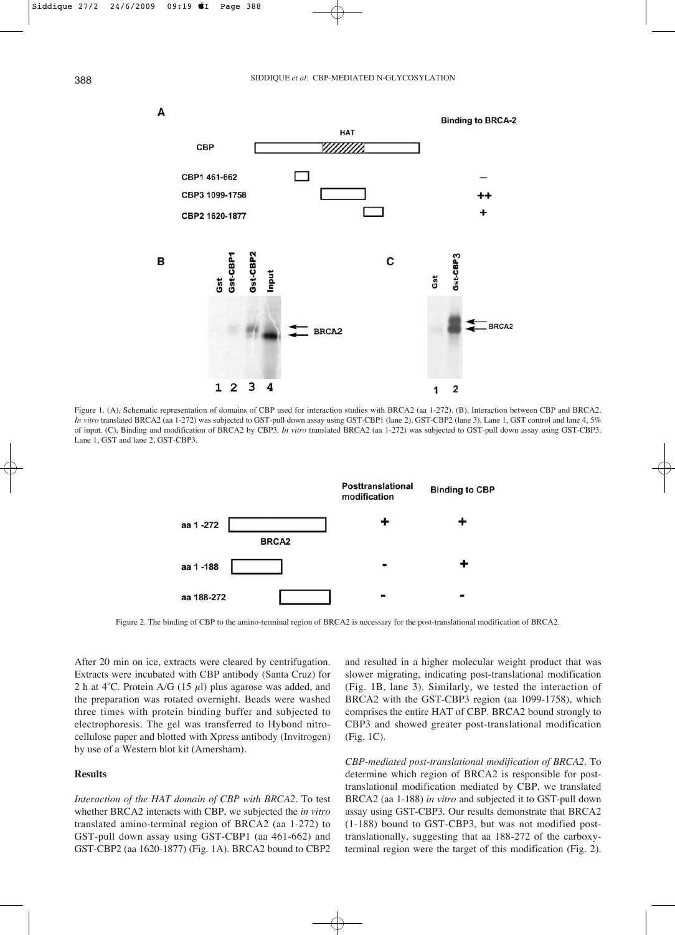

Figure 1. (A), Schematic representation of domains of CBP used for interaction studies with BRCA2 (aa 1-272). (B), Interaction between CBP and BRCA2. *In vitro* translated BRCA2 (aa 1-272) was subjected to GST-pull down assay using GST-CBP1 (lane 2), GST-CBP2 (lane 3). Lane 1, GST control and lane 4, 5% of input. (C), Binding and modification of BRCA2 by CBP3. *In vitro* translated BRCA2 (aa 1-272) was subjected to GST-pull down assay using GST-CBP3. Lane 1, GST and lane 2, GST-CBP3.



Figure 2. The binding of CBP to the amino-terminal region of BRCA2 is necessary for the post-translational modification of BRCA2.

After 20 min on ice, extracts were cleared by centrifugation. Extracts were incubated with CBP antibody (Santa Cruz) for 2 h at 4°C. Protein A/G (15  $\mu$ l) plus agarose was added, and the preparation was rotated overnight. Beads were washed three times with protein binding buffer and subjected to electrophoresis. The gel was transferred to Hybond nitrocellulose paper and blotted with Xpress antibody (Invitrogen) by use of a Western blot kit (Amersham).

# **Results**

*Interaction of the HAT domain of CBP with BRCA2.* To test whether BRCA2 interacts with CBP, we subjected the *in vitro* translated amino-terminal region of BRCA2 (aa 1-272) to GST-pull down assay using GST-CBP1 (aa 461-662) and GST-CBP2 (aa 1620-1877) (Fig. 1A). BRCA2 bound to CBP2 and resulted in a higher molecular weight product that was slower migrating, indicating post-translational modification (Fig. 1B, lane 3). Similarly, we tested the interaction of BRCA2 with the GST-CBP3 region (aa 1099-1758), which comprises the entire HAT of CBP. BRCA2 bound strongly to CBP3 and showed greater post-translational modification (Fig. 1C).

*CBP-mediated post-translational modification of BRCA2.* To determine which region of BRCA2 is responsible for posttranslational modification mediated by CBP, we translated BRCA2 (aa 1-188) *in vitro* and subjected it to GST-pull down assay using GST-CBP3. Our results demonstrate that BRCA2 (1-188) bound to GST-CBP3, but was not modified posttranslationally, suggesting that aa 188-272 of the carboxyterminal region were the target of this modification (Fig. 2).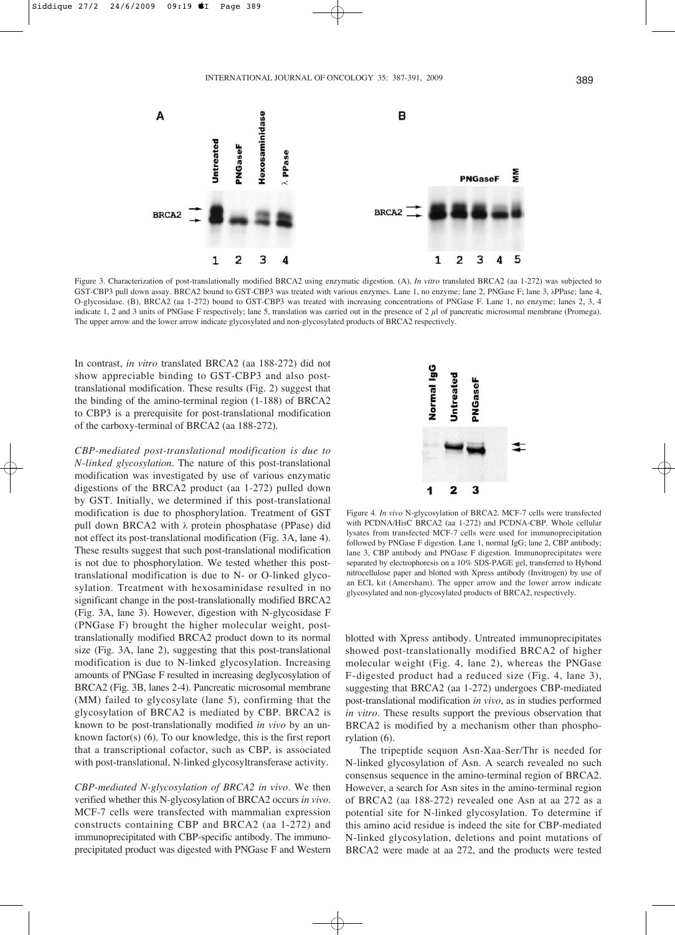

Figure 3. Characterization of post-translationally modified BRCA2 using enzymatic digestion. (A), *In vitro* translated BRCA2 (aa 1-272) was subjected to GST-CBP3 pull down assay. BRCA2 bound to GST-CBP3 was treated with various enzymes. Lane 1, no enzyme; lane 2, PNGase F; lane 3,  $\lambda$ PPase; lane 4, O-glycosidase. (B), BRCA2 (aa 1-272) bound to GST-CBP3 was treated with increasing concentrations of PNGase F. Lane 1, no enzyme; lanes 2, 3, 4 indicate 1, 2 and 3 units of PNGase F respectively; lane 5, translation was carried out in the presence of 2  $\mu$  of pancreatic microsomal membrane (Promega). The upper arrow and the lower arrow indicate glycosylated and non-glycosylated products of BRCA2 respectively.

In contrast, *in vitro* translated BRCA2 (aa 188-272) did not show appreciable binding to GST-CBP3 and also posttranslational modification. These results (Fig. 2) suggest that the binding of the amino-terminal region (1-188) of BRCA2 to CBP3 is a prerequisite for post-translational modification of the carboxy-terminal of BRCA2 (aa 188-272).

*CBP-mediated post-translational modification is due to N-linked glycosylation.* The nature of this post-translational modification was investigated by use of various enzymatic digestions of the BRCA2 product (aa 1-272) pulled down by GST. Initially, we determined if this post-translational modification is due to phosphorylation. Treatment of GST pull down BRCA2 with  $\lambda$  protein phosphatase (PPase) did not effect its post-translational modification (Fig. 3A, lane 4). These results suggest that such post-translational modification is not due to phosphorylation. We tested whether this posttranslational modification is due to N- or O-linked glycosylation. Treatment with hexosaminidase resulted in no significant change in the post-translationally modified BRCA2 (Fig. 3A, lane 3). However, digestion with N-glycosidase F (PNGase F) brought the higher molecular weight, posttranslationally modified BRCA2 product down to its normal size (Fig. 3A, lane 2), suggesting that this post-translational modification is due to N-linked glycosylation. Increasing amounts of PNGase F resulted in increasing deglycosylation of BRCA2 (Fig. 3B, lanes 2-4). Pancreatic microsomal membrane (MM) failed to glycosylate (lane 5), confirming that the glycosylation of BRCA2 is mediated by CBP. BRCA2 is known to be post-translationally modified *in vivo* by an unknown factor(s) (6). To our knowledge, this is the first report that a transcriptional cofactor, such as CBP, is associated with post-translational, N-linked glycosyltransferase activity.

*CBP-mediated N-glycosylation of BRCA2 in vivo.* We then verified whether this N-glycosylation of BRCA2 occurs *in vivo*. MCF-7 cells were transfected with mammalian expression constructs containing CBP and BRCA2 (aa 1-272) and immunoprecipitated with CBP-specific antibody. The immunoprecipitated product was digested with PNGase F and Western



Figure 4. *In vivo* N-glycosylation of BRCA2. MCF-7 cells were transfected with PCDNA/HisC BRCA2 (aa 1-272) and PCDNA-CBP. Whole cellular lysates from transfected MCF-7 cells were used for immunoprecipitation followed by PNGase F digestion. Lane 1, normal IgG; lane 2, CBP antibody; lane 3, CBP antibody and PNGase F digestion. Immunoprecipitates were separated by electrophoresis on a 10% SDS-PAGE gel, transferred to Hybond nitrocellulose paper and blotted with Xpress antibody (Invitrogen) by use of an ECL kit (Amersham). The upper arrow and the lower arrow indicate glycosylated and non-glycosylated products of BRCA2, respectively.

blotted with Xpress antibody. Untreated immunoprecipitates showed post-translationally modified BRCA2 of higher molecular weight (Fig. 4, lane 2), whereas the PNGase F-digested product had a reduced size (Fig. 4, lane 3), suggesting that BRCA2 (aa 1-272) undergoes CBP-mediated post-translational modification *in vivo*, as in studies performed *in vitro*. These results support the previous observation that BRCA2 is modified by a mechanism other than phosphorylation (6).

The tripeptide sequon Asn-Xaa-Ser/Thr is needed for N-linked glycosylation of Asn. A search revealed no such consensus sequence in the amino-terminal region of BRCA2. However, a search for Asn sites in the amino-terminal region of BRCA2 (aa 188-272) revealed one Asn at aa 272 as a potential site for N-linked glycosylation. To determine if this amino acid residue is indeed the site for CBP-mediated N-linked glycosylation, deletions and point mutations of BRCA2 were made at aa 272, and the products were tested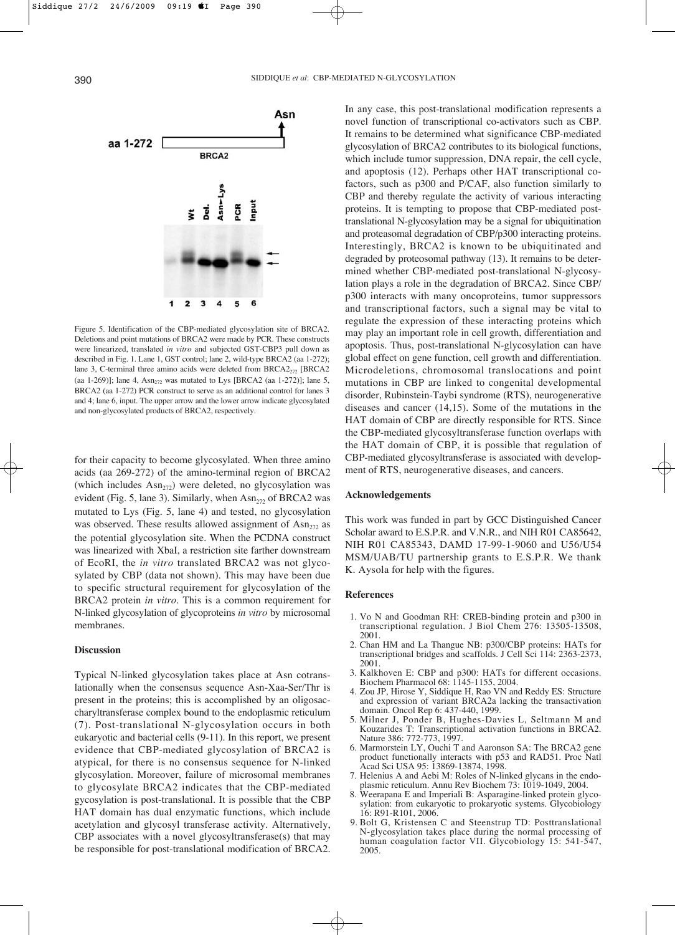

Figure 5. Identification of the CBP-mediated glycosylation site of BRCA2. Deletions and point mutations of BRCA2 were made by PCR. These constructs were linearized, translated *in vitro* and subjected GST-CBP3 pull down as described in Fig. 1. Lane 1, GST control; lane 2, wild-type BRCA2 (aa 1-272); lane 3, C-terminal three amino acids were deleted from  $BRCA2<sub>272</sub>$  [BRCA2 (aa 1-269)]; lane 4,  $Asn<sub>272</sub>$  was mutated to Lys [BRCA2 (aa 1-272)]; lane 5, BRCA2 (aa 1-272) PCR construct to serve as an additional control for lanes 3 and 4; lane 6, input. The upper arrow and the lower arrow indicate glycosylated and non-glycosylated products of BRCA2, respectively.

for their capacity to become glycosylated. When three amino acids (aa 269-272) of the amino-terminal region of BRCA2 (which includes  $Asn<sub>272</sub>$ ) were deleted, no glycosylation was evident (Fig. 5, lane 3). Similarly, when  $\text{Asn}_{272}$  of BRCA2 was mutated to Lys (Fig. 5, lane 4) and tested, no glycosylation was observed. These results allowed assignment of  $\text{Asn}_{272}$  as the potential glycosylation site. When the PCDNA construct was linearized with XbaI, a restriction site farther downstream of EcoRI, the *in vitro* translated BRCA2 was not glycosylated by CBP (data not shown). This may have been due to specific structural requirement for glycosylation of the BRCA2 protein *in vitro*. This is a common requirement for N-linked glycosylation of glycoproteins *in vitro* by microsomal membranes.

#### **Discussion**

Typical N-linked glycosylation takes place at Asn cotranslationally when the consensus sequence Asn-Xaa-Ser/Thr is present in the proteins; this is accomplished by an oligosaccharyltransferase complex bound to the endoplasmic reticulum (7). Post-translational N-glycosylation occurs in both eukaryotic and bacterial cells (9-11). In this report, we present evidence that CBP-mediated glycosylation of BRCA2 is atypical, for there is no consensus sequence for N-linked glycosylation. Moreover, failure of microsomal membranes to glycosylate BRCA2 indicates that the CBP-mediated gycosylation is post-translational. It is possible that the CBP HAT domain has dual enzymatic functions, which include acetylation and glycosyl transferase activity. Alternatively, CBP associates with a novel glycosyltransferase(s) that may be responsible for post-translational modification of BRCA2.

In any case, this post-translational modification represents a novel function of transcriptional co-activators such as CBP. It remains to be determined what significance CBP-mediated glycosylation of BRCA2 contributes to its biological functions, which include tumor suppression, DNA repair, the cell cycle, and apoptosis (12). Perhaps other HAT transcriptional cofactors, such as p300 and P/CAF, also function similarly to CBP and thereby regulate the activity of various interacting proteins. It is tempting to propose that CBP-mediated posttranslational N-glycosylation may be a signal for ubiquitination and proteasomal degradation of CBP/p300 interacting proteins. Interestingly, BRCA2 is known to be ubiquitinated and degraded by proteosomal pathway (13). It remains to be determined whether CBP-mediated post-translational N-glycosylation plays a role in the degradation of BRCA2. Since CBP/ p300 interacts with many oncoproteins, tumor suppressors and transcriptional factors, such a signal may be vital to regulate the expression of these interacting proteins which may play an important role in cell growth, differentiation and apoptosis. Thus, post-translational N-glycosylation can have global effect on gene function, cell growth and differentiation. Microdeletions, chromosomal translocations and point mutations in CBP are linked to congenital developmental disorder, Rubinstein-Taybi syndrome (RTS), neurogenerative diseases and cancer (14,15). Some of the mutations in the HAT domain of CBP are directly responsible for RTS. Since the CBP-mediated glycosyltransferase function overlaps with the HAT domain of CBP, it is possible that regulation of CBP-mediated glycosyltransferase is associated with development of RTS, neurogenerative diseases, and cancers.

## **Acknowledgements**

This work was funded in part by GCC Distinguished Cancer Scholar award to E.S.P.R. and V.N.R., and NIH R01 CA85642, NIH R01 CA85343, DAMD 17-99-1-9060 and U56/U54 MSM/UAB/TU partnership grants to E.S.P.R. We thank K. Aysola for help with the figures.

### **References**

- 1. Vo N and Goodman RH: CREB-binding protein and p300 in transcriptional regulation. J Biol Chem 276: 13505-13508, 2001.
- 2. Chan HM and La Thangue NB: p300/CBP proteins: HATs for transcriptional bridges and scaffolds. J Cell Sci 114: 2363-2373, 2001.
- 3. Kalkhoven E: CBP and p300: HATs for different occasions. Biochem Pharmacol 68: 1145-1155, 2004.
- 4. Zou JP, Hirose Y, Siddique H, Rao VN and Reddy ES: Structure and expression of variant BRCA2a lacking the transactivation domain. Oncol Rep 6: 437-440, 1999.
- 5. Milner J, Ponder B, Hughes-Davies L, Seltmann M and Kouzarides T: Transcriptional activation functions in BRCA2. Nature 386: 772-773, 1997.
- 6. Marmorstein LY, Ouchi T and Aaronson SA: The BRCA2 gene product functionally interacts with p53 and RAD51. Proc Natl Acad Sci USA 95: 13869-13874, 1998.
- 7. Helenius A and Aebi M: Roles of N-linked glycans in the endoplasmic reticulum. Annu Rev Biochem 73: 1019-1049, 2004.
- 8. Weerapana E and Imperiali B: Asparagine-linked protein glycosylation: from eukaryotic to prokaryotic systems. Glycobiology 16: R91-R101, 2006.
- 9. Bolt G, Kristensen C and Steenstrup TD: Posttranslational N-glycosylation takes place during the normal processing of human coagulation factor VII. Glycobiology 15: 541-547, 2005.